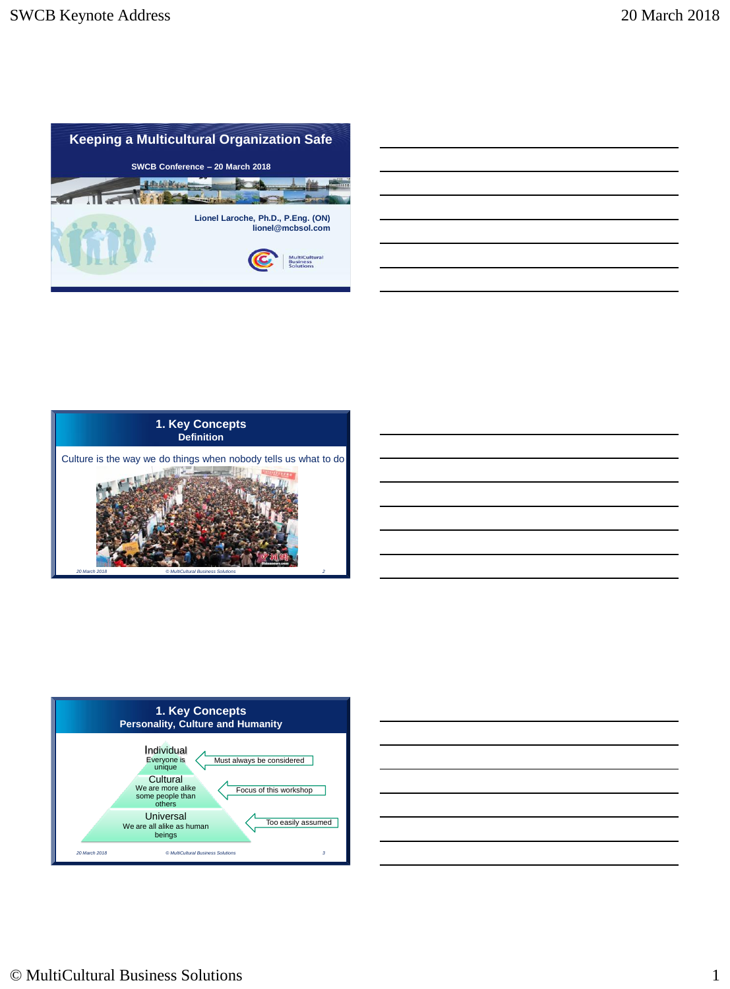





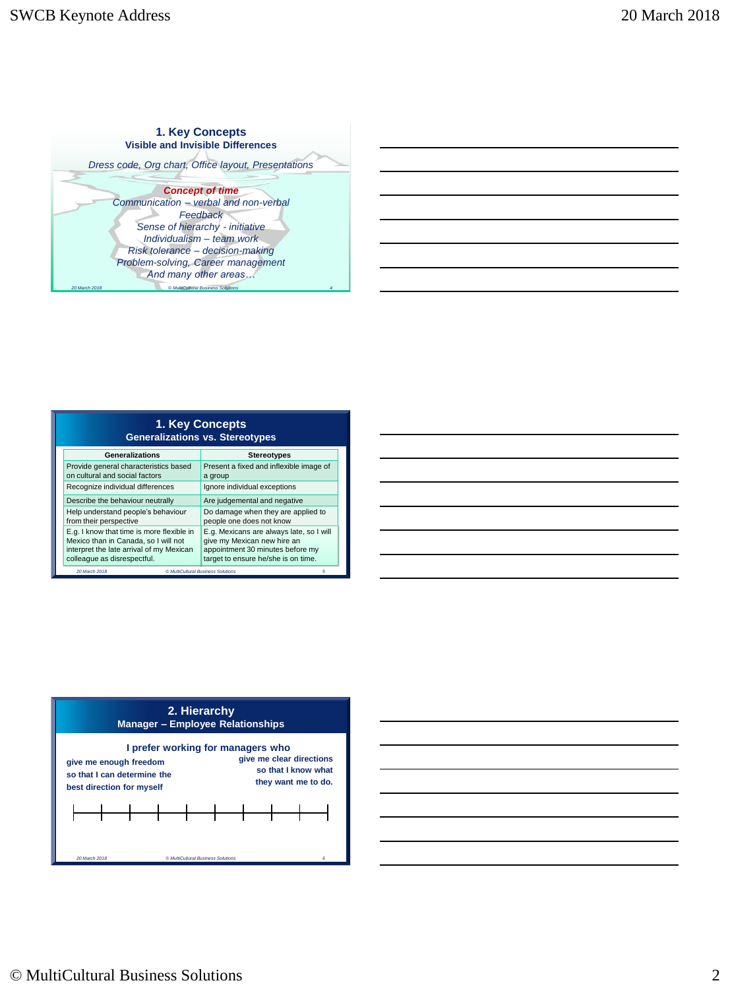

| 1. Key Concepts<br><b>Generalizations vs. Stereotypes</b>                                                                                                    |                                                                                                                                                    |  |  |
|--------------------------------------------------------------------------------------------------------------------------------------------------------------|----------------------------------------------------------------------------------------------------------------------------------------------------|--|--|
| Generalizations                                                                                                                                              | <b>Stereotypes</b>                                                                                                                                 |  |  |
| Provide general characteristics based<br>on cultural and social factors                                                                                      | Present a fixed and inflexible image of<br>a group                                                                                                 |  |  |
| Recognize individual differences                                                                                                                             | Ignore individual exceptions                                                                                                                       |  |  |
| Describe the behaviour neutrally                                                                                                                             | Are judgemental and negative                                                                                                                       |  |  |
| Help understand people's behaviour<br>from their perspective                                                                                                 | Do damage when they are applied to<br>people one does not know                                                                                     |  |  |
| E.g. I know that time is more flexible in<br>Mexico than in Canada, so I will not<br>interpret the late arrival of my Mexican<br>colleague as disrespectful. | E.g. Mexicans are always late, so I will<br>give my Mexican new hire an<br>appointment 30 minutes before my<br>target to ensure he/she is on time. |  |  |
| 20 March 2018<br>© MultiCultural Business Solutions                                                                                                          | 5                                                                                                                                                  |  |  |





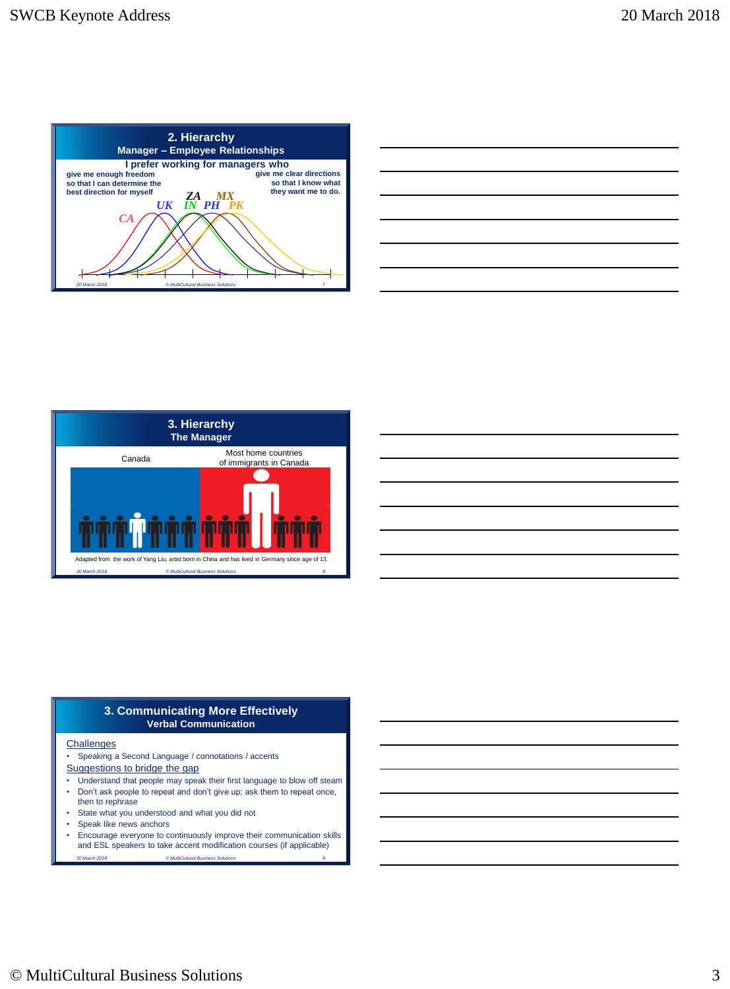

| and the contract of the contract of the contract of the contract of the contract of the contract of the contract of |  |      |
|---------------------------------------------------------------------------------------------------------------------|--|------|
| ,一个人的人都是一个人的人,但是,我们的人都是一个人的人,我们的人都是一个人的人,我们的人都是一个人的人,我们的人都是一个人的人,我们的人都是一个人的人,我们的                                    |  | ____ |
|                                                                                                                     |  |      |
|                                                                                                                     |  |      |
| the contract of the contract of the contract of the contract of the contract of the contract of the contract of     |  |      |
|                                                                                                                     |  |      |
|                                                                                                                     |  |      |



| <u> 1989 - Johann Barn, mars ann an t-Amhain ann an t-Amhain ann an t-Amhain ann an t-Amhain an t-Amhain ann an t-</u> |  |  |
|------------------------------------------------------------------------------------------------------------------------|--|--|
| <u> 1989 - Johann Stoff, deutscher Stoff, der Stoff, der Stoff, der Stoff, der Stoff, der Stoff, der Stoff, der S</u>  |  |  |
| <u> 1989 - Johann Stoff, deutscher Stoff, der Stoff, der Stoff, der Stoff, der Stoff, der Stoff, der Stoff, der S</u>  |  |  |
| <u> 1989 - Johann Barn, mars ann an t-Amhain ann an t-Amhain ann an t-Amhain ann an t-Amhain an t-Amhain ann an t-</u> |  |  |
| <u> 1989 - Johann Stoff, deutscher Stoff, der Stoff, der Stoff, der Stoff, der Stoff, der Stoff, der Stoff, der S</u>  |  |  |
| <u> 1980 - Jan Samuel Barbara, martin da batar a shekara tsara 1980 a tsara 1980 a tsara 1980 a tsara 1980 a tsa</u>   |  |  |
|                                                                                                                        |  |  |

#### **3. Communicating More Effectively Verbal Communication**

#### **Challenges**

- Speaking a Second Language / connotations / accents
- Suggestions to bridge the gap
- Understand that people may speak their first language to blow off steam • Don't ask people to repeat and don't give up; ask them to repeat once,
- then to rephrase
- State what you understood and what you did not
- Speak like news anchors
- *20 March 2018 © MultiCultural Business Solutions 9* • Encourage everyone to continuously improve their communication skills and ESL speakers to take accent modification courses (if applicable)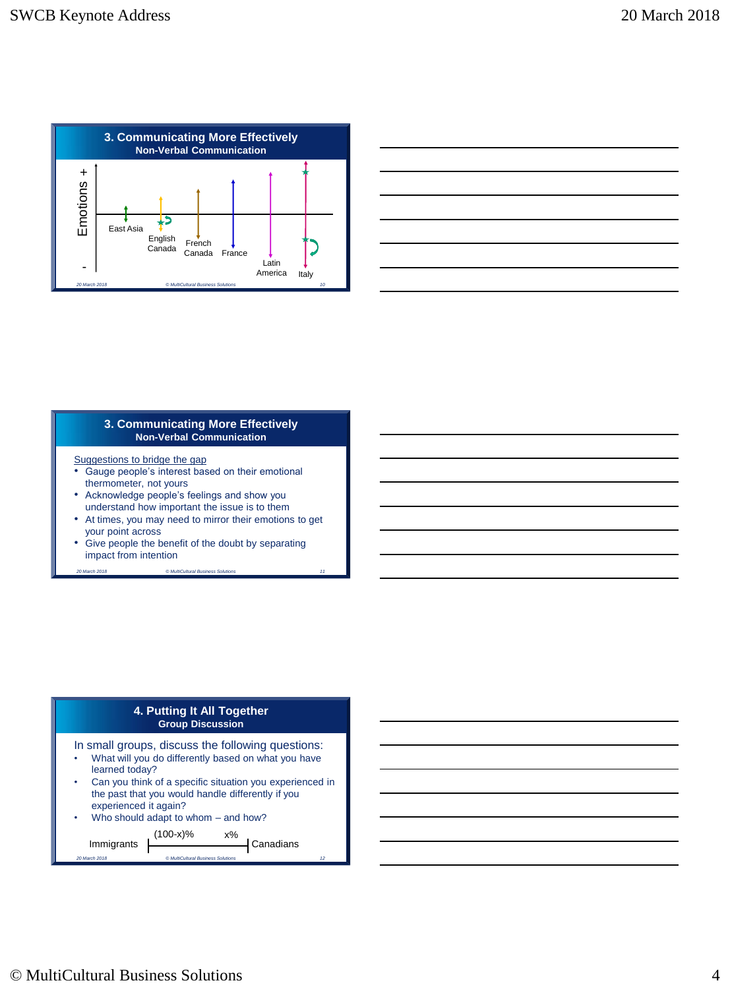

# **3. Communicating More Effectively Non-Verbal Communication**

Suggestions to bridge the gap

- Gauge people's interest based on their emotional thermometer, not yours
- Acknowledge people's feelings and show you understand how important the issue is to them
- At times, you may need to mirror their emotions to get your point across

*20 March 2018 © MultiCultural Business Solutions 11*

• Give people the benefit of the doubt by separating impact from intention

# **4. Putting It All Together Group Discussion**

In small groups, discuss the following questions:

- What will you do differently based on what you have learned today?
- Can you think of a specific situation you experienced in the past that you would handle differently if you experienced it again?
- Who should adapt to whom  $-$  and how?

*20 March 2018 © MultiCultural Business Solutions 12*  $Immigrants$   $\begin{bmatrix} 1 & 1 \\ 1 & 1 \end{bmatrix}$  Canadians (100-x)% x%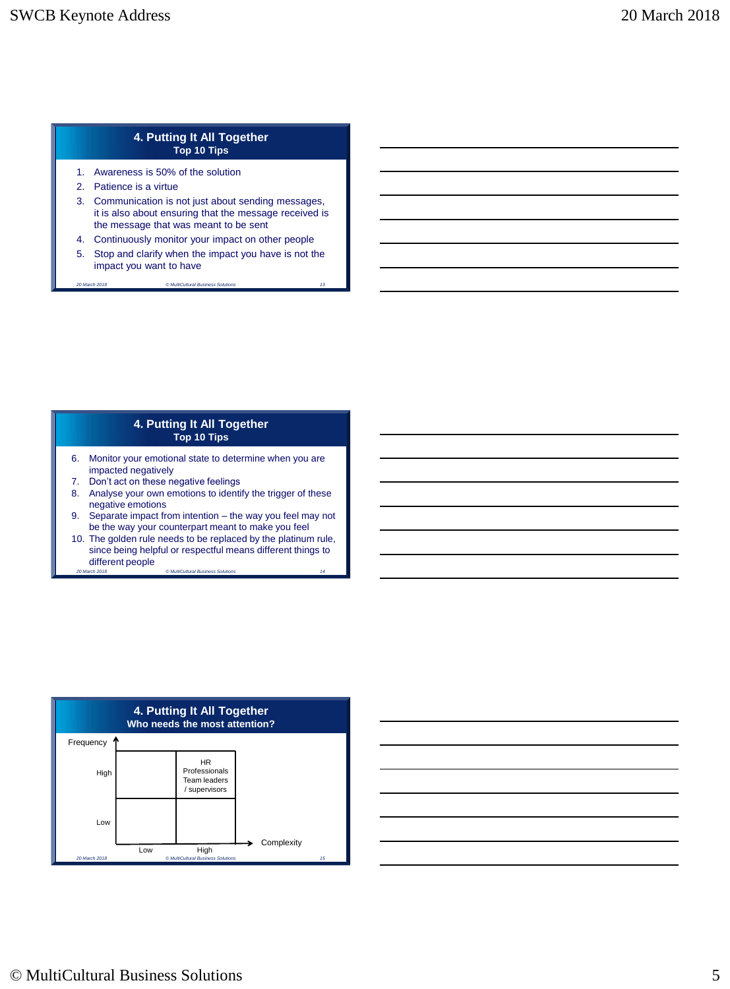# **4. Putting It All Together Top 10 Tips**

- 1. Awareness is 50% of the solution
- 2. Patience is a virtue
- 3. Communication is not just about sending messages, it is also about ensuring that the message received is the message that was meant to be sent
- 4. Continuously monitor your impact on other people
- 5. Stop and clarify when the impact you have is not the impact you want to have *20 March 2018 © MultiCultural Business Solutions 13*

### **4. Putting It All Together Top 10 Tips**

- 6. Monitor your emotional state to determine when you are impacted negatively
- 7. Don't act on these negative feelings
- 8. Analyse your own emotions to identify the trigger of these negative emotions
- 9. Separate impact from intention the way you feel may not be the way your counterpart meant to make you feel
- 10. The golden rule needs to be replaced by the platinum rule, since being helpful or respectful means different things to different people *20 March 2018 © MultiCultural Business Solutions 14*